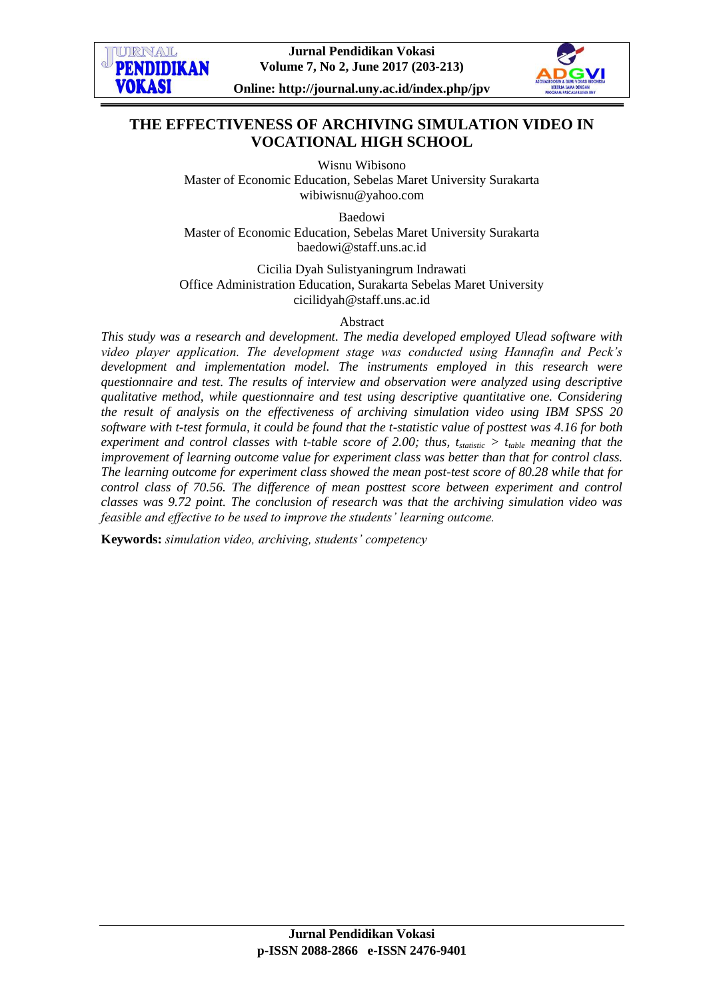

**Jurnal Pendidikan Vokasi Volume 7, No 2, June 2017 (203-213)**



**Online: http://journal.uny.ac.id/index.php/jpv**

# **THE EFFECTIVENESS OF ARCHIVING SIMULATION VIDEO IN VOCATIONAL HIGH SCHOOL**

Wisnu Wibisono Master of Economic Education, Sebelas Maret University Surakarta wibiwisnu@yahoo.com

Baedowi Master of Economic Education, Sebelas Maret University Surakarta baedowi@staff.uns.ac.id

Cicilia Dyah Sulistyaningrum Indrawati Office Administration Education, Surakarta Sebelas Maret University cicilidyah@staff.uns.ac.id

Abstract

*This study was a research and development. The media developed employed Ulead software with video player application. The development stage was conducted using Hannafin and Peck's development and implementation model. The instruments employed in this research were questionnaire and test. The results of interview and observation were analyzed using descriptive qualitative method, while questionnaire and test using descriptive quantitative one. Considering the result of analysis on the effectiveness of archiving simulation video using IBM SPSS 20 software with t-test formula, it could be found that the t-statistic value of posttest was 4.16 for both experiment and control classes with t-table score of 2.00; thus,*  $t_{static} > t_{table}$  *meaning that the improvement of learning outcome value for experiment class was better than that for control class. The learning outcome for experiment class showed the mean post-test score of 80.28 while that for control class of 70.56. The difference of mean posttest score between experiment and control classes was 9.72 point. The conclusion of research was that the archiving simulation video was feasible and effective to be used to improve the students' learning outcome.*

**Keywords:** *simulation video, archiving, students' competency*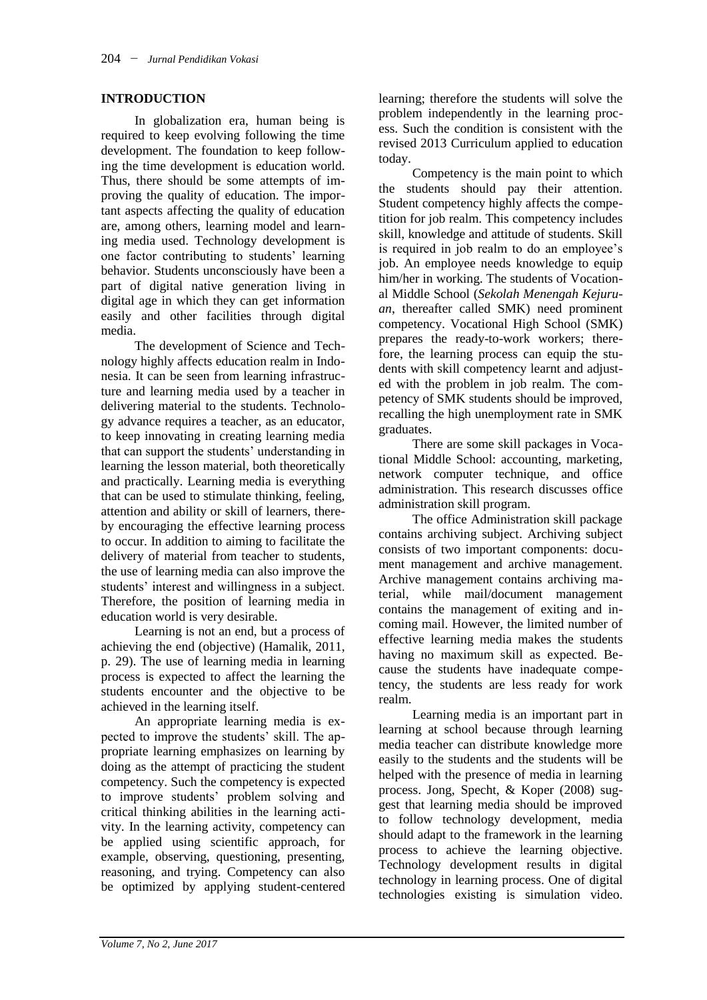## **INTRODUCTION**

In globalization era, human being is required to keep evolving following the time development. The foundation to keep following the time development is education world. Thus, there should be some attempts of improving the quality of education. The important aspects affecting the quality of education are, among others, learning model and learning media used. Technology development is one factor contributing to students' learning behavior. Students unconsciously have been a part of digital native generation living in digital age in which they can get information easily and other facilities through digital media.

The development of Science and Technology highly affects education realm in Indonesia. It can be seen from learning infrastructure and learning media used by a teacher in delivering material to the students. Technology advance requires a teacher, as an educator, to keep innovating in creating learning media that can support the students' understanding in learning the lesson material, both theoretically and practically. Learning media is everything that can be used to stimulate thinking, feeling, attention and ability or skill of learners, thereby encouraging the effective learning process to occur. In addition to aiming to facilitate the delivery of material from teacher to students, the use of learning media can also improve the students' interest and willingness in a subject. Therefore, the position of learning media in education world is very desirable.

Learning is not an end, but a process of achieving the end (objective) (Hamalik, 2011, p. 29). The use of learning media in learning process is expected to affect the learning the students encounter and the objective to be achieved in the learning itself.

An appropriate learning media is expected to improve the students' skill. The appropriate learning emphasizes on learning by doing as the attempt of practicing the student competency. Such the competency is expected to improve students' problem solving and critical thinking abilities in the learning activity. In the learning activity, competency can be applied using scientific approach, for example, observing, questioning, presenting, reasoning, and trying. Competency can also be optimized by applying student-centered learning; therefore the students will solve the problem independently in the learning process. Such the condition is consistent with the revised 2013 Curriculum applied to education today.

Competency is the main point to which the students should pay their attention. Student competency highly affects the competition for job realm. This competency includes skill, knowledge and attitude of students. Skill is required in job realm to do an employee's job. An employee needs knowledge to equip him/her in working. The students of Vocational Middle School (*Sekolah Menengah Kejuruan*, thereafter called SMK) need prominent competency. Vocational High School (SMK) prepares the ready-to-work workers; therefore, the learning process can equip the students with skill competency learnt and adjusted with the problem in job realm. The competency of SMK students should be improved, recalling the high unemployment rate in SMK graduates.

There are some skill packages in Vocational Middle School: accounting, marketing, network computer technique, and office administration. This research discusses office administration skill program.

The office Administration skill package contains archiving subject. Archiving subject consists of two important components: document management and archive management. Archive management contains archiving material, while mail/document management contains the management of exiting and incoming mail. However, the limited number of effective learning media makes the students having no maximum skill as expected. Because the students have inadequate competency, the students are less ready for work realm.

Learning media is an important part in learning at school because through learning media teacher can distribute knowledge more easily to the students and the students will be helped with the presence of media in learning process. Jong, Specht, & Koper (2008) suggest that learning media should be improved to follow technology development, media should adapt to the framework in the learning process to achieve the learning objective. Technology development results in digital technology in learning process. One of digital technologies existing is simulation video.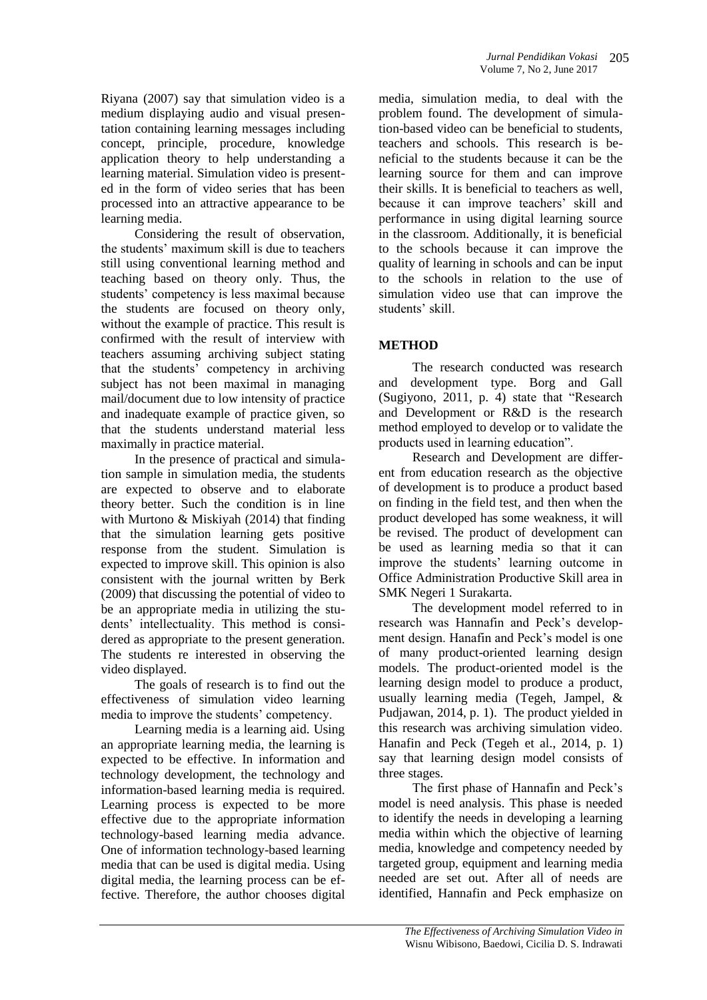Riyana (2007) say that simulation video is a medium displaying audio and visual presentation containing learning messages including concept, principle, procedure, knowledge application theory to help understanding a learning material. Simulation video is presented in the form of video series that has been processed into an attractive appearance to be learning media.

Considering the result of observation, the students' maximum skill is due to teachers still using conventional learning method and teaching based on theory only. Thus, the students' competency is less maximal because the students are focused on theory only, without the example of practice. This result is confirmed with the result of interview with teachers assuming archiving subject stating that the students' competency in archiving subject has not been maximal in managing mail/document due to low intensity of practice and inadequate example of practice given, so that the students understand material less maximally in practice material.

In the presence of practical and simulation sample in simulation media, the students are expected to observe and to elaborate theory better. Such the condition is in line with Murtono & Miskiyah (2014) that finding that the simulation learning gets positive response from the student. Simulation is expected to improve skill. This opinion is also consistent with the journal written by Berk (2009) that discussing the potential of video to be an appropriate media in utilizing the students' intellectuality. This method is considered as appropriate to the present generation. The students re interested in observing the video displayed.

The goals of research is to find out the effectiveness of simulation video learning media to improve the students' competency.

Learning media is a learning aid. Using an appropriate learning media, the learning is expected to be effective. In information and technology development, the technology and information-based learning media is required. Learning process is expected to be more effective due to the appropriate information technology-based learning media advance. One of information technology-based learning media that can be used is digital media. Using digital media, the learning process can be effective. Therefore, the author chooses digital

media, simulation media, to deal with the problem found. The development of simulation-based video can be beneficial to students, teachers and schools. This research is beneficial to the students because it can be the learning source for them and can improve their skills. It is beneficial to teachers as well, because it can improve teachers' skill and performance in using digital learning source in the classroom. Additionally, it is beneficial to the schools because it can improve the quality of learning in schools and can be input to the schools in relation to the use of simulation video use that can improve the students' skill.

## **METHOD**

The research conducted was research and development type. Borg and Gall (Sugiyono, 2011, p. 4) state that "Research and Development or R&D is the research method employed to develop or to validate the products used in learning education".

Research and Development are different from education research as the objective of development is to produce a product based on finding in the field test, and then when the product developed has some weakness, it will be revised. The product of development can be used as learning media so that it can improve the students' learning outcome in Office Administration Productive Skill area in SMK Negeri 1 Surakarta.

The development model referred to in research was Hannafin and Peck's development design. Hanafin and Peck's model is one of many product-oriented learning design models. The product-oriented model is the learning design model to produce a product, usually learning media (Tegeh, Jampel, & Pudjawan, 2014, p. 1). The product yielded in this research was archiving simulation video. Hanafin and Peck (Tegeh et al., 2014, p. 1) say that learning design model consists of three stages.

The first phase of Hannafin and Peck's model is need analysis. This phase is needed to identify the needs in developing a learning media within which the objective of learning media, knowledge and competency needed by targeted group, equipment and learning media needed are set out. After all of needs are identified, Hannafin and Peck emphasize on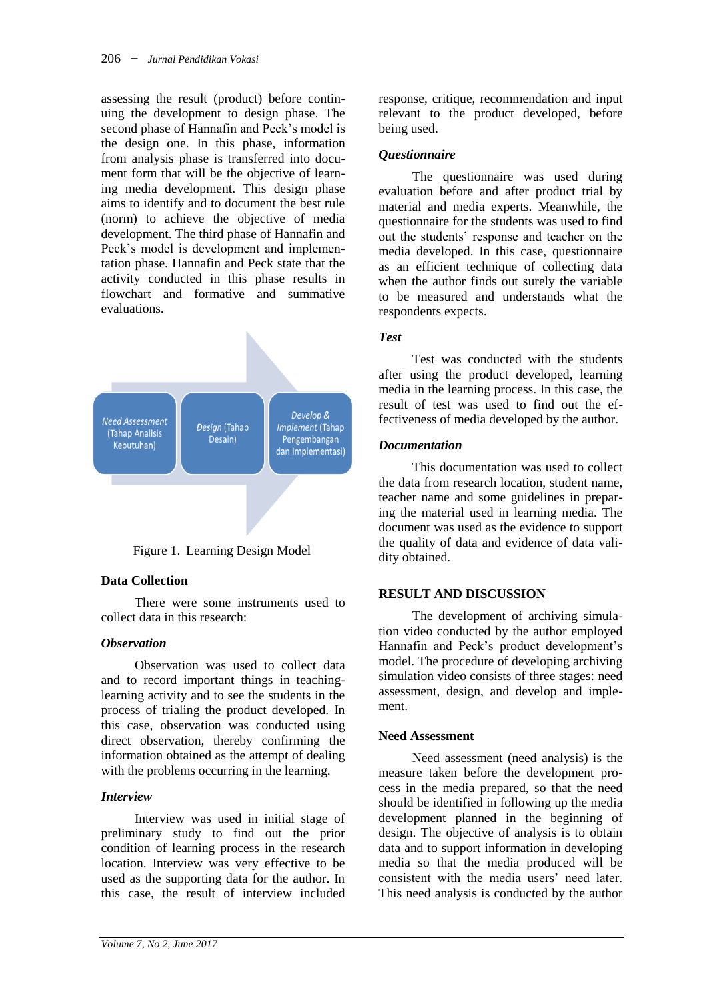assessing the result (product) before continuing the development to design phase. The second phase of Hannafin and Peck's model is the design one. In this phase, information from analysis phase is transferred into document form that will be the objective of learning media development. This design phase aims to identify and to document the best rule (norm) to achieve the objective of media development. The third phase of Hannafin and Peck's model is development and implementation phase. Hannafin and Peck state that the activity conducted in this phase results in flowchart and formative and summative evaluations.



Figure 1. Learning Design Model

### **Data Collection**

There were some instruments used to collect data in this research:

### *Observation*

Observation was used to collect data and to record important things in teachinglearning activity and to see the students in the process of trialing the product developed. In this case, observation was conducted using direct observation, thereby confirming the information obtained as the attempt of dealing with the problems occurring in the learning.

### *Interview*

Interview was used in initial stage of preliminary study to find out the prior condition of learning process in the research location. Interview was very effective to be used as the supporting data for the author. In this case, the result of interview included

response, critique, recommendation and input relevant to the product developed, before being used.

### *Questionnaire*

The questionnaire was used during evaluation before and after product trial by material and media experts. Meanwhile, the questionnaire for the students was used to find out the students' response and teacher on the media developed. In this case, questionnaire as an efficient technique of collecting data when the author finds out surely the variable to be measured and understands what the respondents expects.

### *Test*

Test was conducted with the students after using the product developed, learning media in the learning process. In this case, the result of test was used to find out the effectiveness of media developed by the author.

### *Documentation*

This documentation was used to collect the data from research location, student name, teacher name and some guidelines in preparing the material used in learning media. The document was used as the evidence to support the quality of data and evidence of data validity obtained.

### **RESULT AND DISCUSSION**

The development of archiving simulation video conducted by the author employed Hannafin and Peck's product development's model. The procedure of developing archiving simulation video consists of three stages: need assessment, design, and develop and implement.

### **Need Assessment**

Need assessment (need analysis) is the measure taken before the development process in the media prepared, so that the need should be identified in following up the media development planned in the beginning of design. The objective of analysis is to obtain data and to support information in developing media so that the media produced will be consistent with the media users' need later. This need analysis is conducted by the author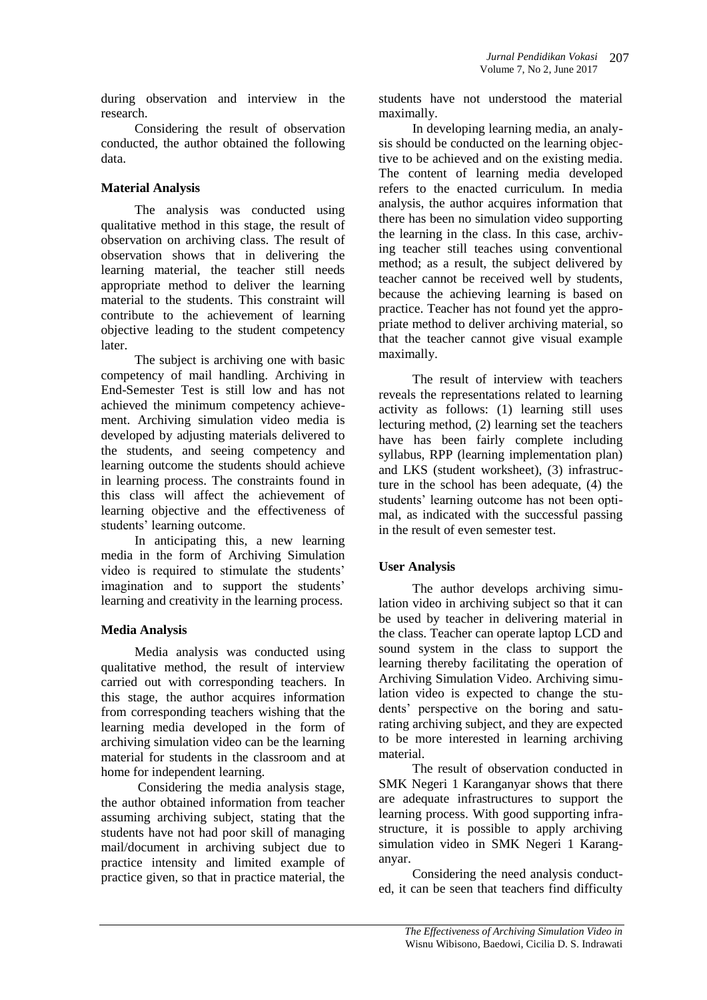during observation and interview in the research.

Considering the result of observation conducted, the author obtained the following data.

# **Material Analysis**

The analysis was conducted using qualitative method in this stage, the result of observation on archiving class. The result of observation shows that in delivering the learning material, the teacher still needs appropriate method to deliver the learning material to the students. This constraint will contribute to the achievement of learning objective leading to the student competency later.

The subject is archiving one with basic competency of mail handling. Archiving in End-Semester Test is still low and has not achieved the minimum competency achievement. Archiving simulation video media is developed by adjusting materials delivered to the students, and seeing competency and learning outcome the students should achieve in learning process. The constraints found in this class will affect the achievement of learning objective and the effectiveness of students' learning outcome.

In anticipating this, a new learning media in the form of Archiving Simulation video is required to stimulate the students' imagination and to support the students' learning and creativity in the learning process.

# **Media Analysis**

Media analysis was conducted using qualitative method, the result of interview carried out with corresponding teachers. In this stage, the author acquires information from corresponding teachers wishing that the learning media developed in the form of archiving simulation video can be the learning material for students in the classroom and at home for independent learning.

Considering the media analysis stage, the author obtained information from teacher assuming archiving subject, stating that the students have not had poor skill of managing mail/document in archiving subject due to practice intensity and limited example of practice given, so that in practice material, the

students have not understood the material maximally.

In developing learning media, an analysis should be conducted on the learning objective to be achieved and on the existing media. The content of learning media developed refers to the enacted curriculum. In media analysis, the author acquires information that there has been no simulation video supporting the learning in the class. In this case, archiving teacher still teaches using conventional method; as a result, the subject delivered by teacher cannot be received well by students, because the achieving learning is based on practice. Teacher has not found yet the appropriate method to deliver archiving material, so that the teacher cannot give visual example maximally.

The result of interview with teachers reveals the representations related to learning activity as follows: (1) learning still uses lecturing method, (2) learning set the teachers have has been fairly complete including syllabus, RPP (learning implementation plan) and LKS (student worksheet), (3) infrastructure in the school has been adequate, (4) the students' learning outcome has not been optimal, as indicated with the successful passing in the result of even semester test.

# **User Analysis**

The author develops archiving simulation video in archiving subject so that it can be used by teacher in delivering material in the class. Teacher can operate laptop LCD and sound system in the class to support the learning thereby facilitating the operation of Archiving Simulation Video. Archiving simulation video is expected to change the students' perspective on the boring and saturating archiving subject, and they are expected to be more interested in learning archiving material.

The result of observation conducted in SMK Negeri 1 Karanganyar shows that there are adequate infrastructures to support the learning process. With good supporting infrastructure, it is possible to apply archiving simulation video in SMK Negeri 1 Karanganyar.

Considering the need analysis conducted, it can be seen that teachers find difficulty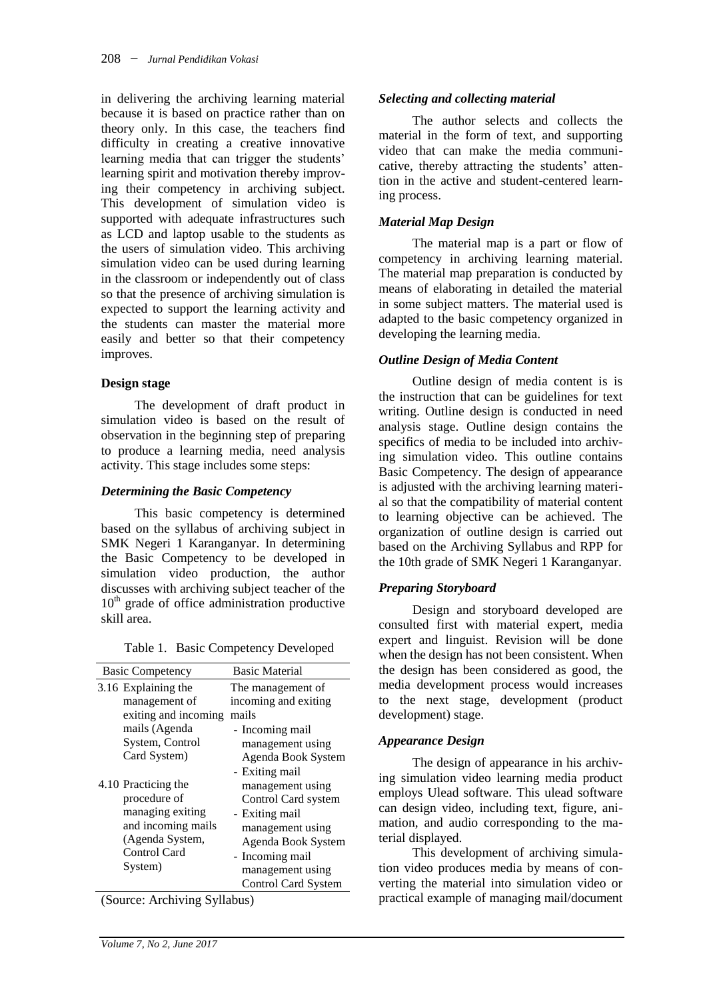in delivering the archiving learning material because it is based on practice rather than on theory only. In this case, the teachers find difficulty in creating a creative innovative learning media that can trigger the students' learning spirit and motivation thereby improving their competency in archiving subject. This development of simulation video is supported with adequate infrastructures such as LCD and laptop usable to the students as the users of simulation video. This archiving simulation video can be used during learning in the classroom or independently out of class so that the presence of archiving simulation is expected to support the learning activity and the students can master the material more easily and better so that their competency improves.

### **Design stage**

The development of draft product in simulation video is based on the result of observation in the beginning step of preparing to produce a learning media, need analysis activity. This stage includes some steps:

### *Determining the Basic Competency*

This basic competency is determined based on the syllabus of archiving subject in SMK Negeri 1 Karanganyar. In determining the Basic Competency to be developed in simulation video production, the author discusses with archiving subject teacher of the  $10<sup>th</sup>$  grade of office administration productive skill area.

|  |  | Table 1. Basic Competency Developed |  |  |
|--|--|-------------------------------------|--|--|
|--|--|-------------------------------------|--|--|

| <b>Basic Competency</b>                                                                                                     | <b>Basic Material</b>                                                                                                                                                    |
|-----------------------------------------------------------------------------------------------------------------------------|--------------------------------------------------------------------------------------------------------------------------------------------------------------------------|
| 3.16 Explaining the<br>management of<br>exiting and incoming<br>mails (Agenda<br>System, Control<br>Card System)            | The management of<br>incoming and exiting<br>mails<br>- Incoming mail<br>management using<br>Agenda Book System<br>- Exiting mail                                        |
| 4.10 Practicing the<br>procedure of<br>managing exiting<br>and incoming mails<br>(Agenda System,<br>Control Card<br>System) | management using<br>Control Card system<br>- Exiting mail<br>management using<br>Agenda Book System<br>- Incoming mail<br>management using<br><b>Control Card System</b> |

(Source: Archiving Syllabus)

### *Selecting and collecting material*

The author selects and collects the material in the form of text, and supporting video that can make the media communicative, thereby attracting the students' attention in the active and student-centered learning process.

## *Material Map Design*

The material map is a part or flow of competency in archiving learning material. The material map preparation is conducted by means of elaborating in detailed the material in some subject matters. The material used is adapted to the basic competency organized in developing the learning media.

## *Outline Design of Media Content*

Outline design of media content is is the instruction that can be guidelines for text writing. Outline design is conducted in need analysis stage. Outline design contains the specifics of media to be included into archiving simulation video. This outline contains Basic Competency. The design of appearance is adjusted with the archiving learning material so that the compatibility of material content to learning objective can be achieved. The organization of outline design is carried out based on the Archiving Syllabus and RPP for the 10th grade of SMK Negeri 1 Karanganyar.

## *Preparing Storyboard*

Design and storyboard developed are consulted first with material expert, media expert and linguist. Revision will be done when the design has not been consistent. When the design has been considered as good, the media development process would increases to the next stage, development (product development) stage.

### *Appearance Design*

The design of appearance in his archiving simulation video learning media product employs Ulead software. This ulead software can design video, including text, figure, animation, and audio corresponding to the material displayed.

This development of archiving simulation video produces media by means of converting the material into simulation video or practical example of managing mail/document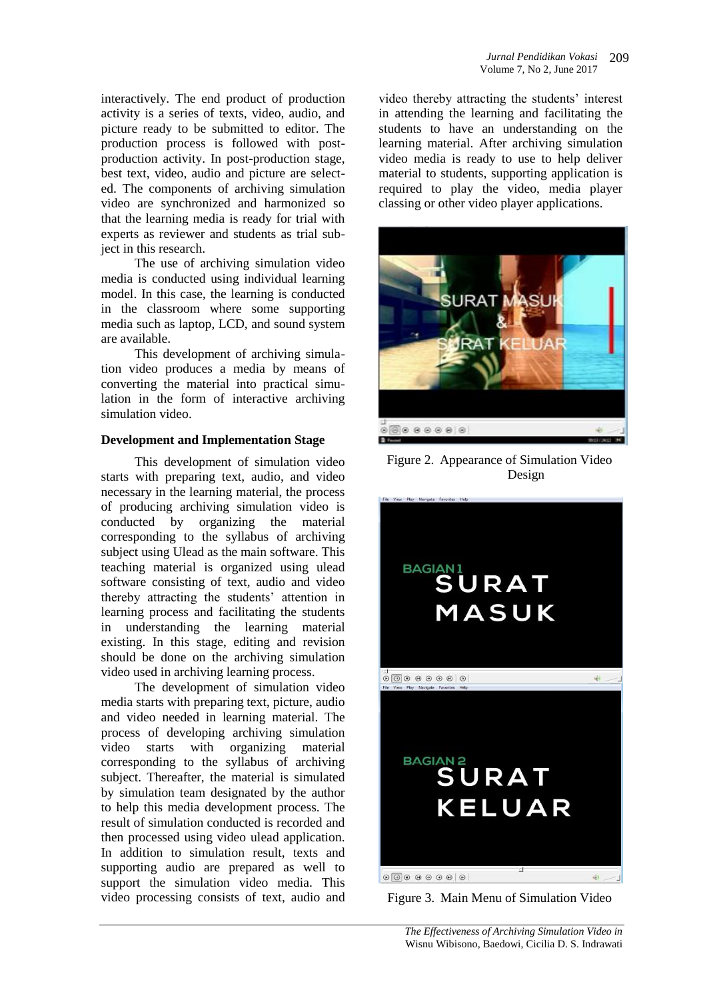interactively. The end product of production activity is a series of texts, video, audio, and picture ready to be submitted to editor. The production process is followed with postproduction activity. In post-production stage, best text, video, audio and picture are selected. The components of archiving simulation video are synchronized and harmonized so that the learning media is ready for trial with experts as reviewer and students as trial subject in this research.

The use of archiving simulation video media is conducted using individual learning model. In this case, the learning is conducted in the classroom where some supporting media such as laptop, LCD, and sound system are available.

This development of archiving simulation video produces a media by means of converting the material into practical simulation in the form of interactive archiving simulation video.

### **Development and Implementation Stage**

This development of simulation video starts with preparing text, audio, and video necessary in the learning material, the process of producing archiving simulation video is conducted by organizing the material corresponding to the syllabus of archiving subject using Ulead as the main software. This teaching material is organized using ulead software consisting of text, audio and video thereby attracting the students' attention in learning process and facilitating the students in understanding the learning material existing. In this stage, editing and revision should be done on the archiving simulation video used in archiving learning process.

The development of simulation video media starts with preparing text, picture, audio and video needed in learning material. The process of developing archiving simulation video starts with organizing material corresponding to the syllabus of archiving subject. Thereafter, the material is simulated by simulation team designated by the author to help this media development process. The result of simulation conducted is recorded and then processed using video ulead application. In addition to simulation result, texts and supporting audio are prepared as well to support the simulation video media. This video processing consists of text, audio and video thereby attracting the students' interest in attending the learning and facilitating the students to have an understanding on the learning material. After archiving simulation video media is ready to use to help deliver material to students, supporting application is required to play the video, media player classing or other video player applications.



Figure 2. Appearance of Simulation Video Design



Figure 3. Main Menu of Simulation Video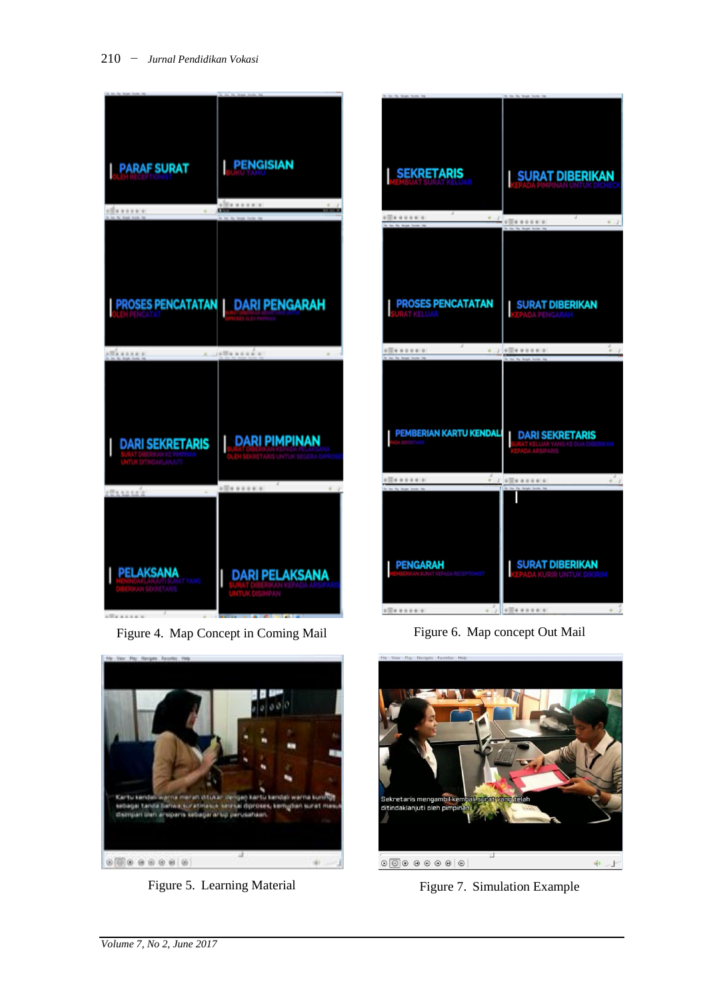

Figure 4. Map Concept in Coming Mail



Figure 5. Learning Material

| <b>SEKRETARIS</b>                     | SURAT DIBERIKAN                                                                                           |
|---------------------------------------|-----------------------------------------------------------------------------------------------------------|
| ×<br>0.000000000000                   | $+1$ of $\frac{1}{2}$ of $\frac{1}{2}$ and $\frac{1}{2}$ and $\frac{1}{2}$ and $\frac{1}{2}$<br>$-0.1$    |
| <b>PROSES PENCATATAN</b><br>AT KELUAR | <b>SURAT DIBERIKAN</b><br>PENGARAH                                                                        |
|                                       |                                                                                                           |
|                                       |                                                                                                           |
|                                       |                                                                                                           |
| PEMBERIAN KARTU KENDALI               | <b>DARI SEKRETARIS</b>                                                                                    |
|                                       |                                                                                                           |
| š                                     | $\label{eq:3} -I^{'}\otimes[\overline{\otimes}]\otimes\; \theta\otimes\theta\otimes\theta\mid\theta$<br>I |

Figure 6. Map concept Out Mail



Figure 7. Simulation Example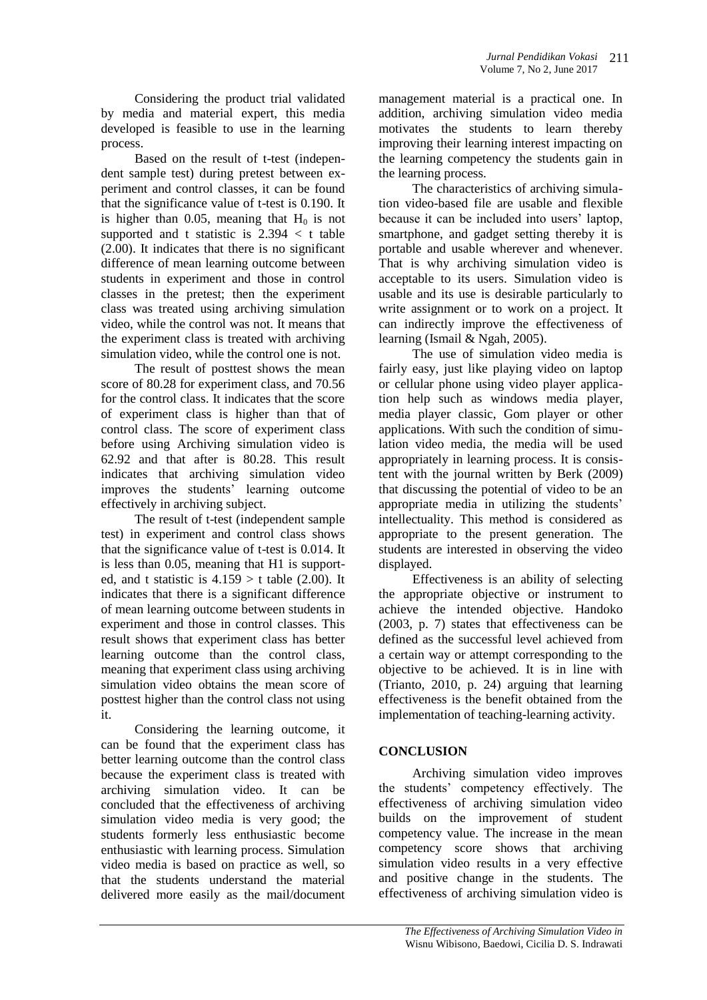Considering the product trial validated by media and material expert, this media developed is feasible to use in the learning process.

Based on the result of t-test (independent sample test) during pretest between experiment and control classes, it can be found that the significance value of t-test is 0.190. It is higher than 0.05, meaning that  $H_0$  is not supported and t statistic is  $2.394 < t$  table (2.00). It indicates that there is no significant difference of mean learning outcome between students in experiment and those in control classes in the pretest; then the experiment class was treated using archiving simulation video, while the control was not. It means that the experiment class is treated with archiving simulation video, while the control one is not.

The result of posttest shows the mean score of 80.28 for experiment class, and 70.56 for the control class. It indicates that the score of experiment class is higher than that of control class. The score of experiment class before using Archiving simulation video is 62.92 and that after is 80.28. This result indicates that archiving simulation video improves the students' learning outcome effectively in archiving subject.

The result of t-test (independent sample test) in experiment and control class shows that the significance value of t-test is 0.014. It is less than 0.05, meaning that H1 is supported, and t statistic is  $4.159 > t$  table (2.00). It indicates that there is a significant difference of mean learning outcome between students in experiment and those in control classes. This result shows that experiment class has better learning outcome than the control class, meaning that experiment class using archiving simulation video obtains the mean score of posttest higher than the control class not using it.

Considering the learning outcome, it can be found that the experiment class has better learning outcome than the control class because the experiment class is treated with archiving simulation video. It can be concluded that the effectiveness of archiving simulation video media is very good; the students formerly less enthusiastic become enthusiastic with learning process. Simulation video media is based on practice as well, so that the students understand the material delivered more easily as the mail/document

management material is a practical one. In addition, archiving simulation video media motivates the students to learn thereby improving their learning interest impacting on the learning competency the students gain in the learning process.

The characteristics of archiving simulation video-based file are usable and flexible because it can be included into users' laptop, smartphone, and gadget setting thereby it is portable and usable wherever and whenever. That is why archiving simulation video is acceptable to its users. Simulation video is usable and its use is desirable particularly to write assignment or to work on a project. It can indirectly improve the effectiveness of learning (Ismail & Ngah, 2005).

The use of simulation video media is fairly easy, just like playing video on laptop or cellular phone using video player application help such as windows media player, media player classic, Gom player or other applications. With such the condition of simulation video media, the media will be used appropriately in learning process. It is consistent with the journal written by Berk (2009) that discussing the potential of video to be an appropriate media in utilizing the students' intellectuality. This method is considered as appropriate to the present generation. The students are interested in observing the video displayed.

Effectiveness is an ability of selecting the appropriate objective or instrument to achieve the intended objective. Handoko (2003, p. 7) states that effectiveness can be defined as the successful level achieved from a certain way or attempt corresponding to the objective to be achieved. It is in line with (Trianto, 2010, p. 24) arguing that learning effectiveness is the benefit obtained from the implementation of teaching-learning activity.

# **CONCLUSION**

Archiving simulation video improves the students' competency effectively. The effectiveness of archiving simulation video builds on the improvement of student competency value. The increase in the mean competency score shows that archiving simulation video results in a very effective and positive change in the students. The effectiveness of archiving simulation video is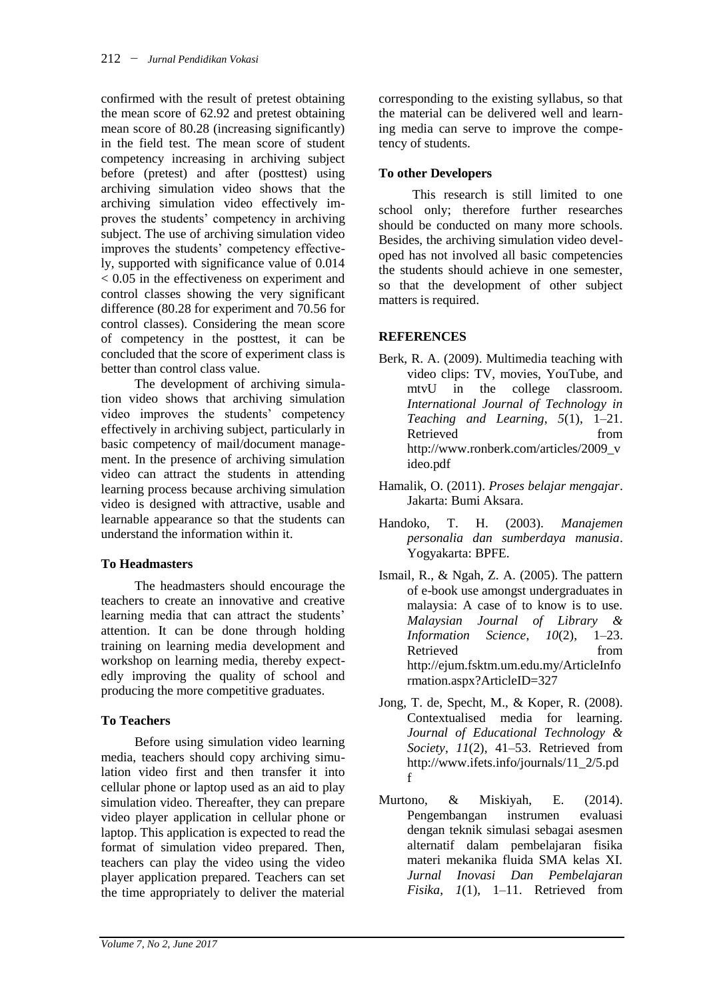confirmed with the result of pretest obtaining the mean score of 62.92 and pretest obtaining mean score of 80.28 (increasing significantly) in the field test. The mean score of student competency increasing in archiving subject before (pretest) and after (posttest) using archiving simulation video shows that the archiving simulation video effectively improves the students' competency in archiving subject. The use of archiving simulation video improves the students' competency effectively, supported with significance value of 0.014 < 0.05 in the effectiveness on experiment and control classes showing the very significant difference (80.28 for experiment and 70.56 for control classes). Considering the mean score of competency in the posttest, it can be concluded that the score of experiment class is better than control class value.

The development of archiving simulation video shows that archiving simulation video improves the students' competency effectively in archiving subject, particularly in basic competency of mail/document management. In the presence of archiving simulation video can attract the students in attending learning process because archiving simulation video is designed with attractive, usable and learnable appearance so that the students can understand the information within it.

## **To Headmasters**

The headmasters should encourage the teachers to create an innovative and creative learning media that can attract the students' attention. It can be done through holding training on learning media development and workshop on learning media, thereby expectedly improving the quality of school and producing the more competitive graduates.

## **To Teachers**

Before using simulation video learning media, teachers should copy archiving simulation video first and then transfer it into cellular phone or laptop used as an aid to play simulation video. Thereafter, they can prepare video player application in cellular phone or laptop. This application is expected to read the format of simulation video prepared. Then, teachers can play the video using the video player application prepared. Teachers can set the time appropriately to deliver the material

corresponding to the existing syllabus, so that the material can be delivered well and learning media can serve to improve the competency of students.

# **To other Developers**

This research is still limited to one school only; therefore further researches should be conducted on many more schools. Besides, the archiving simulation video developed has not involved all basic competencies the students should achieve in one semester, so that the development of other subject matters is required.

## **REFERENCES**

- Berk, R. A. (2009). Multimedia teaching with video clips: TV, movies, YouTube, and mtvU in the college classroom. *International Journal of Technology in Teaching and Learning*, *5*(1), 1–21. Retrieved from http://www.ronberk.com/articles/2009\_v ideo.pdf
- Hamalik, O. (2011). *Proses belajar mengajar*. Jakarta: Bumi Aksara.
- Handoko, T. H. (2003). *Manajemen personalia dan sumberdaya manusia*. Yogyakarta: BPFE.
- Ismail, R., & Ngah, Z. A. (2005). The pattern of e-book use amongst undergraduates in malaysia: A case of to know is to use. *Malaysian Journal of Library & Information Science*, *10*(2), 1–23. Retrieved from http://ejum.fsktm.um.edu.my/ArticleInfo rmation.aspx?ArticleID=327
- Jong, T. de, Specht, M., & Koper, R. (2008). Contextualised media for learning. *Journal of Educational Technology & Society*, *11*(2), 41–53. Retrieved from http://www.ifets.info/journals/11\_2/5.pd f
- Murtono, & Miskiyah, E. (2014). Pengembangan instrumen evaluasi dengan teknik simulasi sebagai asesmen alternatif dalam pembelajaran fisika materi mekanika fluida SMA kelas XI. *Jurnal Inovasi Dan Pembelajaran Fisika*, *1*(1), 1–11. Retrieved from